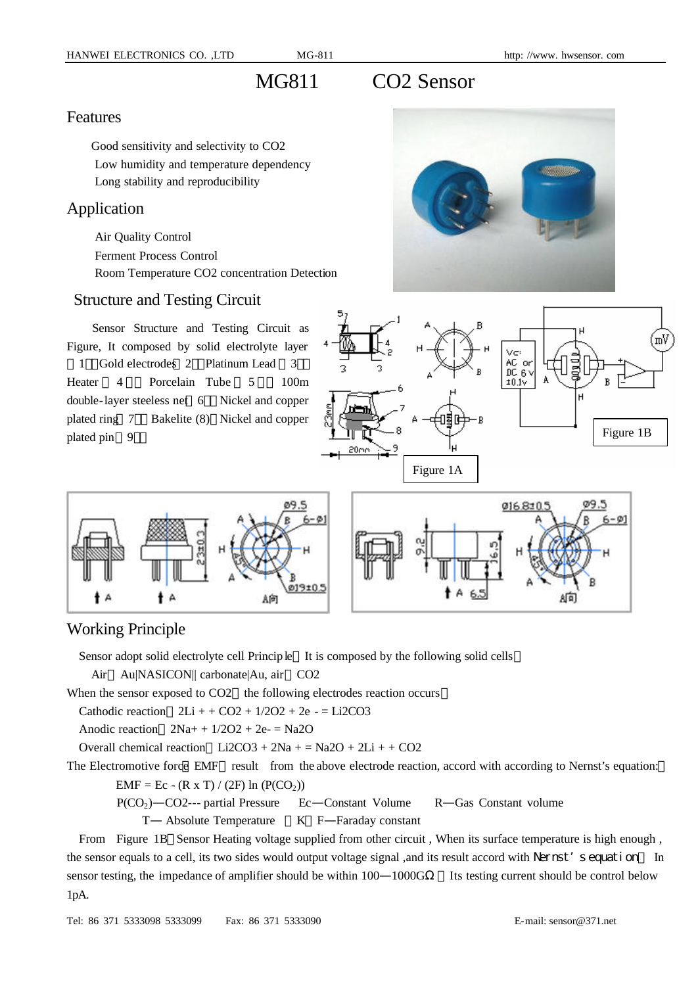# MG811 CO2 Sensor

#### Features

Good sensitivity and selectivity to CO2 Low humidity and temperature dependency Long stability and reproducibility

#### Application

Air Quality Control Ferment Process Control Room Temperature CO2 concentration Detection

#### Structure and Testing Circuit

Sensor Structure and Testing Circuit as Figure, It composed by solid electrolyte layer 1 Gold electrodes 2 Platinum Lead 3 Heater 4 Porcelain Tube 5 100m double-layer steeless net 6 Nickel and copper plated ring 7 Bakelite (8) Nickel and copper plated pin 9







#### Working Principle

Sensor adopt solid electrolyte cell Princip le It is composed by the following solid cells

Air Au|NASICON|| carbonate|Au, air CO2

When the sensor exposed to CO2 the following electrodes reaction occurs

Cathodic reaction  $2Li + CO2 + 1/2O2 + 2e = Li2CO3$ 

Anodic reaction  $2Na+ + 1/2O2 + 2e = Na2O$ 

Overall chemical reaction  $Li2CO3 + 2Na + = Na2O + 2Li + + CO2$ 

The Electromotive force EMF result from the above electrode reaction, accord with according to Nernst's equation:

EMF = Ec - (R x T) / (2F) ln (P(CO<sub>2</sub>))

- P(CO2)—CO2--- partial Pressure Ec—Constant Volume R—Gas Constant volume
	- T- Absolute Temperature K F-Faraday constant

From Figure 1B Sensor Heating voltage supplied from other circuit, When its surface temperature is high enough, the sensor equals to a cell, its two sides would output voltage signal ,and its result accord with Nernst's equation In sensor testing, the impedance of amplifier should be within  $100-1000G$  Its testing current should be control below 1pA.